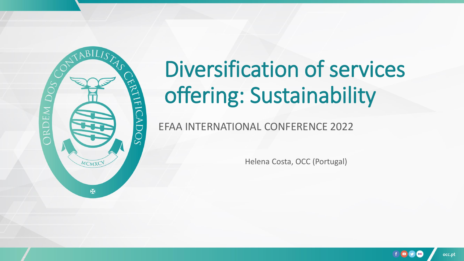

EFAA INTERNATIONAL CONFERENCE 2022

Helena Costa, OCC (Portugal)

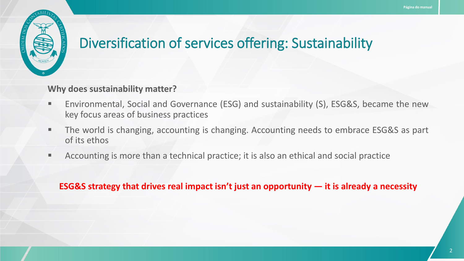

#### **Why does sustainability matter?**

- Environmental, Social and Governance (ESG) and sustainability (S), ESG&S, became the new key focus areas of business practices
- The world is changing, accounting is changing. Accounting needs to embrace ESG&S as part of its ethos
- Accounting is more than a technical practice; it is also an ethical and social practice

#### **ESG&S strategy that drives real impact isn't just an opportunity — it is already a necessity**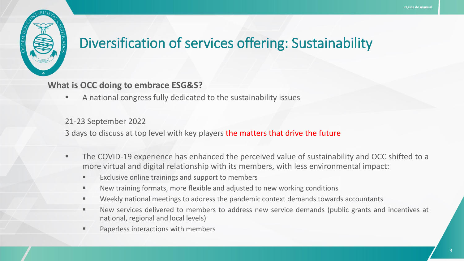

**What is OCC doing to embrace ESG&S?**

■ A national congress fully dedicated to the sustainability issues

#### 21-23 September 2022

3 days to discuss at top level with key players the matters that drive the future

- **The COVID-19 experience has enhanced the perceived value of sustainability and OCC shifted to a** more virtual and digital relationship with its members, with less environmental impact:
	- Exclusive online trainings and support to members
	- New training formats, more flexible and adjusted to new working conditions
	- Weekly national meetings to address the pandemic context demands towards accountants
	- New services delivered to members to address new service demands (public grants and incentives at national, regional and local levels)
	- Paperless interactions with members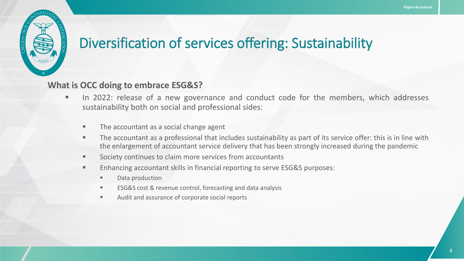

#### **What is OCC doing to embrace ESG&S?**

- **■** In 2022: release of a new governance and conduct code for the members, which addresses sustainability both on social and professional sides:
	- The accountant as a social change agent
	- The accountant as a professional that includes sustainability as part of its service offer: this is in line with the enlargement of accountant service delivery that has been strongly increased during the pandemic
	- Society continues to claim more services from accountants
	- Enhancing accountant skills in financial reporting to serve ESG&S purposes:
		- Data production
		- ESG&S cost & revenue control, forecasting and data analysis
		- Audit and assurance of corporate social reports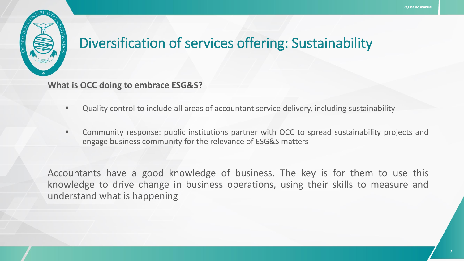

**What is OCC doing to embrace ESG&S?**

- Quality control to include all areas of accountant service delivery, including sustainability
- **EXPLEM** Community response: public institutions partner with OCC to spread sustainability projects and engage business community for the relevance of ESG&S matters

Accountants have a good knowledge of business. The key is for them to use this knowledge to drive change in business operations, using their skills to measure and understand what is happening